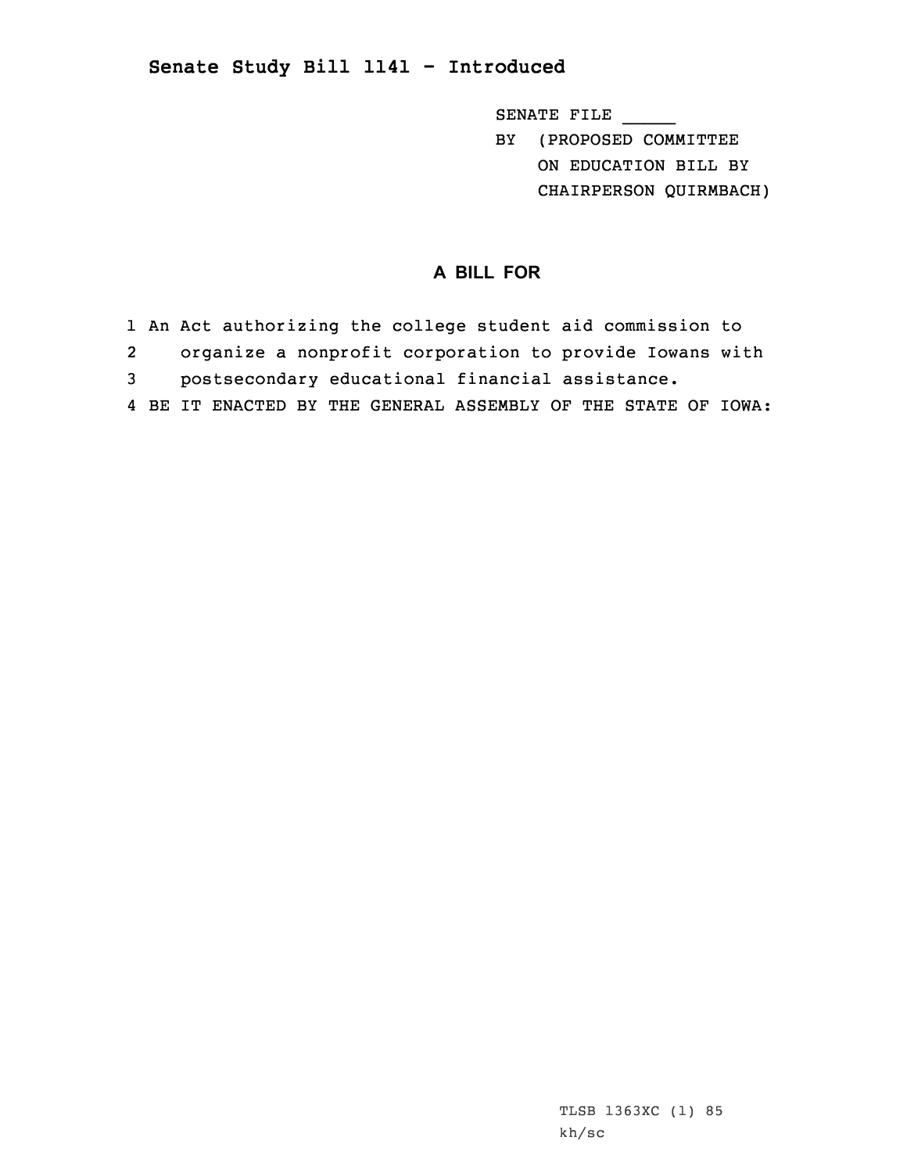## **Senate Study Bill 1141 - Introduced**

SENATE FILE \_\_\_\_\_

BY (PROPOSED COMMITTEE ON EDUCATION BILL BY CHAIRPERSON QUIRMBACH)

## **A BILL FOR**

- 1 An Act authorizing the college student aid commission to
- 2organize <sup>a</sup> nonprofit corporation to provide Iowans with
- 3 postsecondary educational financial assistance.
- 4 BE IT ENACTED BY THE GENERAL ASSEMBLY OF THE STATE OF IOWA: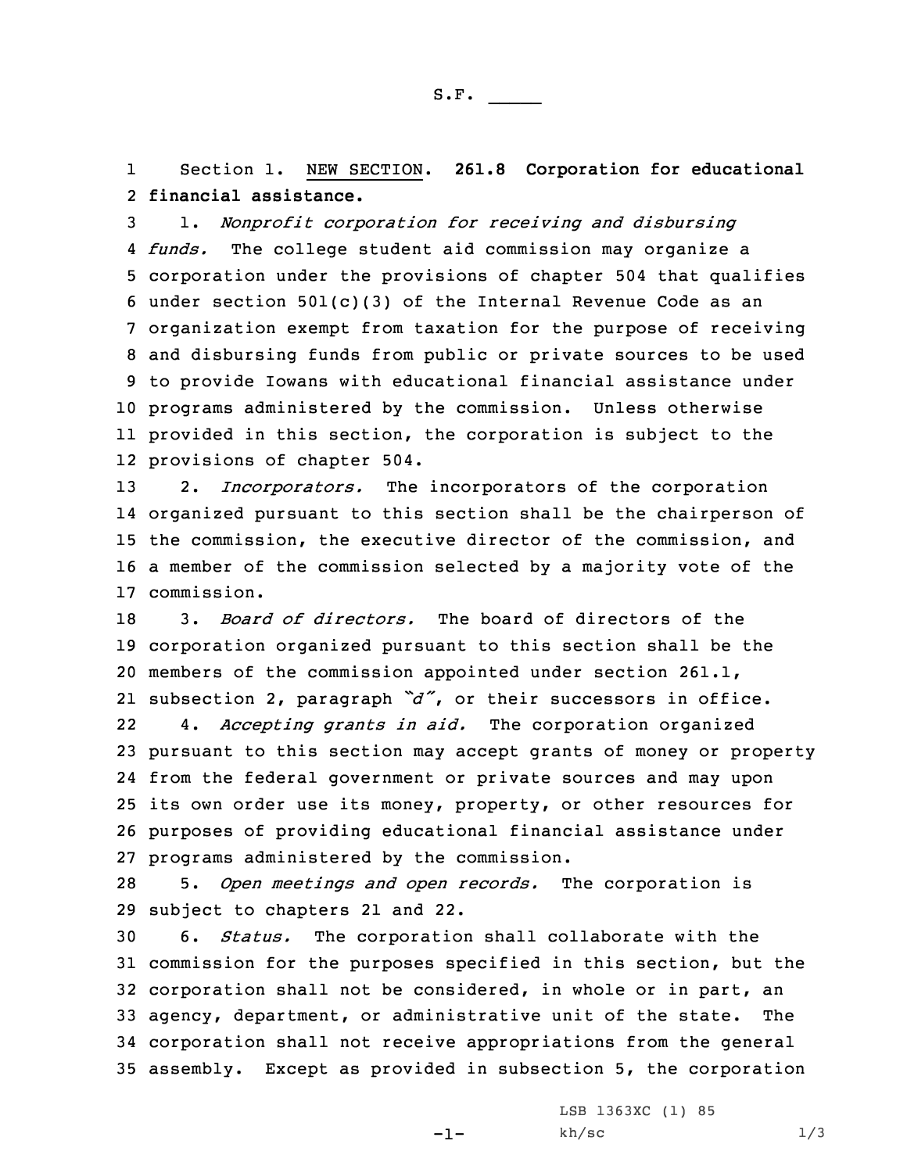1 Section 1. NEW SECTION. **261.8 Corporation for educational** 2 **financial assistance.**

 1. *Nonprofit corporation for receiving and disbursing funds.* The college student aid commission may organize <sup>a</sup> corporation under the provisions of chapter 504 that qualifies under section 501(c)(3) of the Internal Revenue Code as an organization exempt from taxation for the purpose of receiving and disbursing funds from public or private sources to be used to provide Iowans with educational financial assistance under programs administered by the commission. Unless otherwise provided in this section, the corporation is subject to the provisions of chapter 504.

 2. *Incorporators.* The incorporators of the corporation organized pursuant to this section shall be the chairperson of the commission, the executive director of the commission, and <sup>a</sup> member of the commission selected by <sup>a</sup> majority vote of the commission.

 3. *Board of directors.* The board of directors of the corporation organized pursuant to this section shall be the members of the commission appointed under section 261.1, subsection 2, paragraph *"d"*, or their successors in office.

22 4. *Accepting grants in aid.* The corporation organized pursuant to this section may accept grants of money or property from the federal government or private sources and may upon its own order use its money, property, or other resources for purposes of providing educational financial assistance under programs administered by the commission.

28 5. *Open meetings and open records.* The corporation is 29 subject to chapters 21 and 22.

 6. *Status.* The corporation shall collaborate with the commission for the purposes specified in this section, but the corporation shall not be considered, in whole or in part, an agency, department, or administrative unit of the state. The corporation shall not receive appropriations from the general assembly. Except as provided in subsection 5, the corporation

 $-1-$ 

LSB 1363XC (1) 85  $kh/\text{sc}$  1/3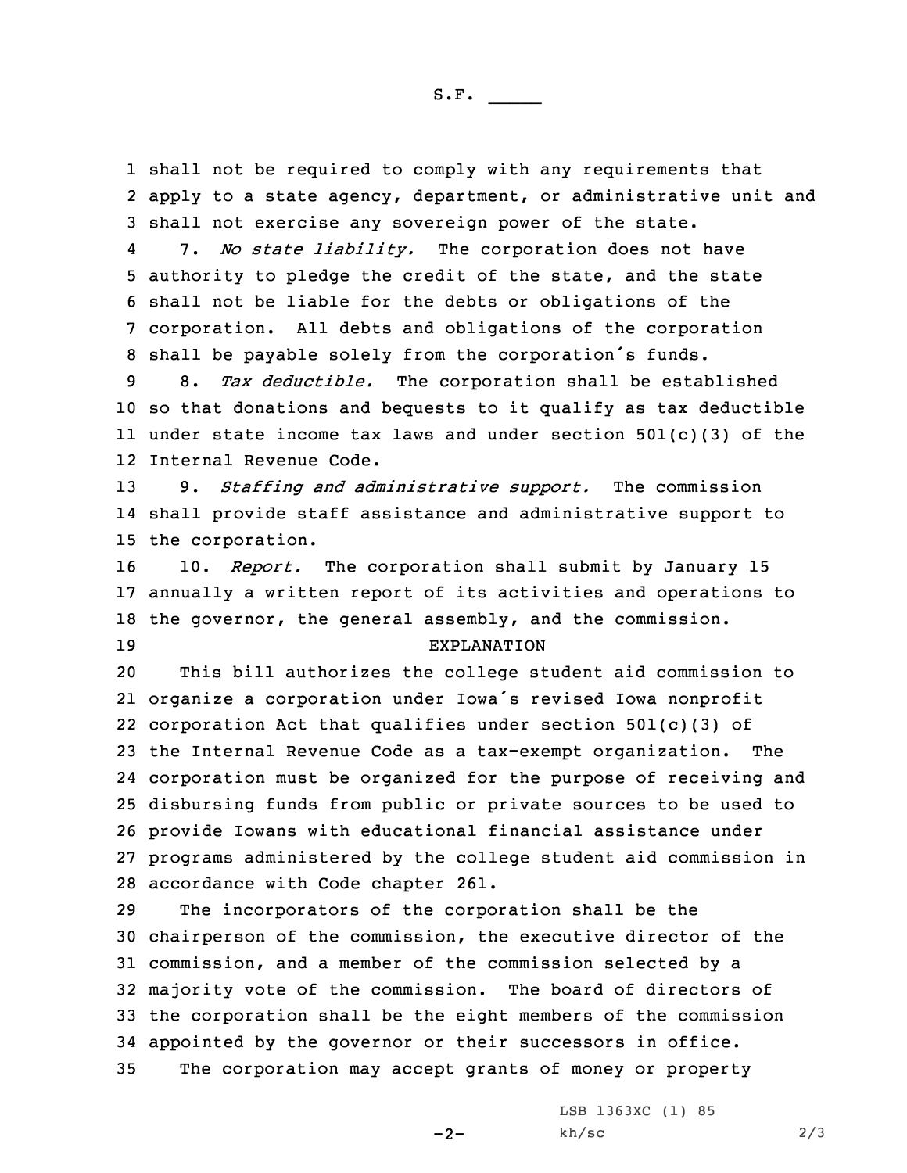1 shall not be required to comply with any requirements that 2 apply to <sup>a</sup> state agency, department, or administrative unit and 3 shall not exercise any sovereign power of the state.

4 7. *No state liability.* The corporation does not have authority to pledge the credit of the state, and the state shall not be liable for the debts or obligations of the corporation. All debts and obligations of the corporation shall be payable solely from the corporation's funds.

 8. *Tax deductible.* The corporation shall be established so that donations and bequests to it qualify as tax deductible under state income tax laws and under section 501(c)(3) of the Internal Revenue Code.

13 9. *Staffing and administrative support.* The commission 14 shall provide staff assistance and administrative support to 15 the corporation.

 10. *Report.* The corporation shall submit by January 15 annually <sup>a</sup> written report of its activities and operations to the governor, the general assembly, and the commission. EXPLANATION

 This bill authorizes the college student aid commission to organize <sup>a</sup> corporation under Iowa's revised Iowa nonprofit corporation Act that qualifies under section 501(c)(3) of the Internal Revenue Code as <sup>a</sup> tax-exempt organization. The corporation must be organized for the purpose of receiving and disbursing funds from public or private sources to be used to provide Iowans with educational financial assistance under programs administered by the college student aid commission in accordance with Code chapter 261.

 The incorporators of the corporation shall be the chairperson of the commission, the executive director of the commission, and <sup>a</sup> member of the commission selected by <sup>a</sup> majority vote of the commission. The board of directors of the corporation shall be the eight members of the commission appointed by the governor or their successors in office. The corporation may accept grants of money or property

 $-2-$ 

LSB 1363XC (1) 85  $kh/sec$  2/3